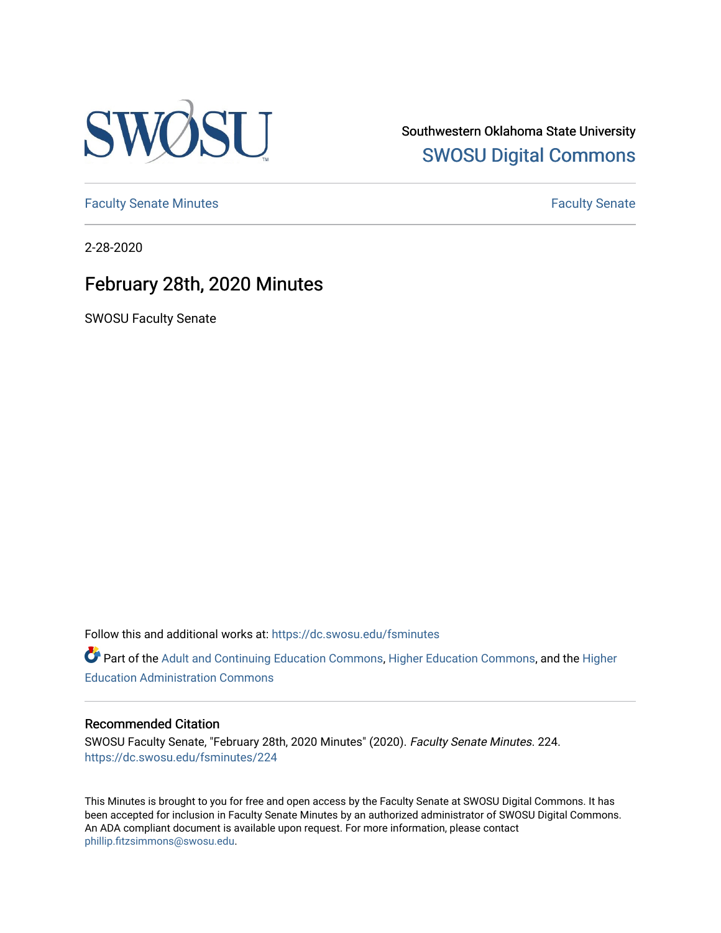

Southwestern Oklahoma State University [SWOSU Digital Commons](https://dc.swosu.edu/) 

[Faculty Senate Minutes](https://dc.swosu.edu/fsminutes) **Faculty** Senate Minutes

2-28-2020

### February 28th, 2020 Minutes

SWOSU Faculty Senate

Follow this and additional works at: [https://dc.swosu.edu/fsminutes](https://dc.swosu.edu/fsminutes?utm_source=dc.swosu.edu%2Ffsminutes%2F224&utm_medium=PDF&utm_campaign=PDFCoverPages) 

Part of the [Adult and Continuing Education Commons,](http://network.bepress.com/hgg/discipline/1375?utm_source=dc.swosu.edu%2Ffsminutes%2F224&utm_medium=PDF&utm_campaign=PDFCoverPages) [Higher Education Commons,](http://network.bepress.com/hgg/discipline/1245?utm_source=dc.swosu.edu%2Ffsminutes%2F224&utm_medium=PDF&utm_campaign=PDFCoverPages) and the [Higher](http://network.bepress.com/hgg/discipline/791?utm_source=dc.swosu.edu%2Ffsminutes%2F224&utm_medium=PDF&utm_campaign=PDFCoverPages) [Education Administration Commons](http://network.bepress.com/hgg/discipline/791?utm_source=dc.swosu.edu%2Ffsminutes%2F224&utm_medium=PDF&utm_campaign=PDFCoverPages) 

#### Recommended Citation

SWOSU Faculty Senate, "February 28th, 2020 Minutes" (2020). Faculty Senate Minutes. 224. [https://dc.swosu.edu/fsminutes/224](https://dc.swosu.edu/fsminutes/224?utm_source=dc.swosu.edu%2Ffsminutes%2F224&utm_medium=PDF&utm_campaign=PDFCoverPages) 

This Minutes is brought to you for free and open access by the Faculty Senate at SWOSU Digital Commons. It has been accepted for inclusion in Faculty Senate Minutes by an authorized administrator of SWOSU Digital Commons. An ADA compliant document is available upon request. For more information, please contact [phillip.fitzsimmons@swosu.edu](mailto:phillip.fitzsimmons@swosu.edu).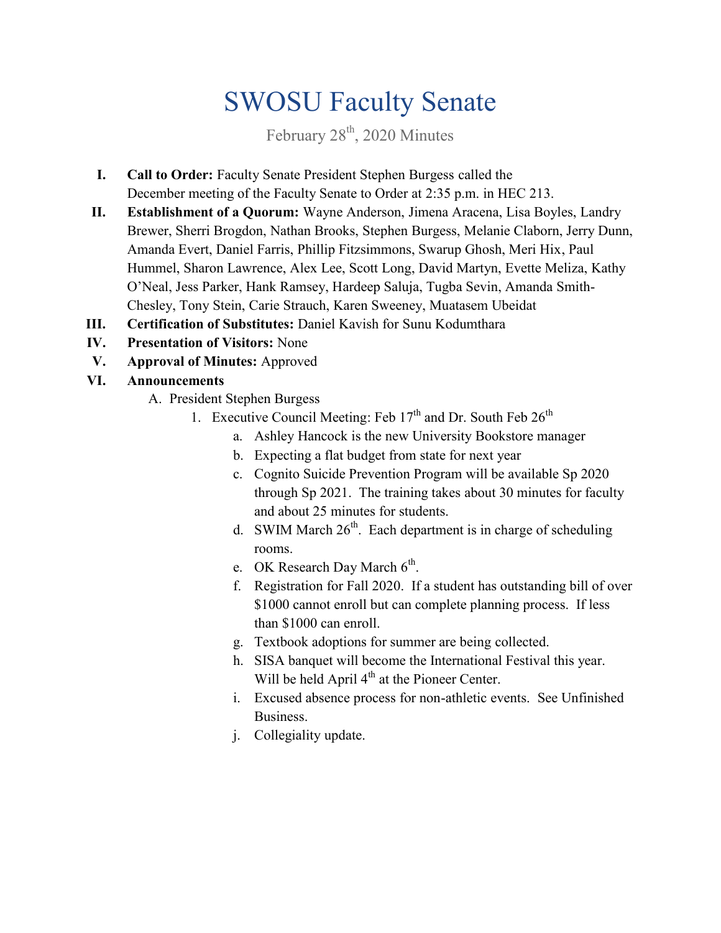# SWOSU Faculty Senate

February 28<sup>th</sup>, 2020 Minutes

- **I. Call to Order:** Faculty Senate President Stephen Burgess called the December meeting of the Faculty Senate to Order at 2:35 p.m. in HEC 213.
- **II. Establishment of a Quorum:** Wayne Anderson, Jimena Aracena, Lisa Boyles, Landry Brewer, Sherri Brogdon, Nathan Brooks, Stephen Burgess, Melanie Claborn, Jerry Dunn, Amanda Evert, Daniel Farris, Phillip Fitzsimmons, Swarup Ghosh, Meri Hix, Paul Hummel, Sharon Lawrence, Alex Lee, Scott Long, David Martyn, Evette Meliza, Kathy O'Neal, Jess Parker, Hank Ramsey, Hardeep Saluja, Tugba Sevin, Amanda Smith- Chesley, Tony Stein, Carie Strauch, Karen Sweeney, Muatasem Ubeidat
- **III. Certification of Substitutes:** Daniel Kavish for Sunu Kodumthara
- **IV. Presentation of Visitors:** None
- **V. Approval of Minutes:** Approved
- **VI. Announcements**
	- A. President Stephen Burgess
		- 1. Executive Council Meeting: Feb  $17<sup>th</sup>$  and Dr. South Feb  $26<sup>th</sup>$ 
			- a. Ashley Hancock is the new University Bookstore manager
			- b. Expecting a flat budget from state for next year
			- c. Cognito Suicide Prevention Program will be available Sp 2020 through Sp 2021. The training takes about 30 minutes for faculty and about 25 minutes for students.
			- d. SWIM March  $26<sup>th</sup>$ . Each department is in charge of scheduling rooms.
			- e. OK Research Day March  $6^{\text{th}}$ .
			- f. Registration for Fall 2020. If a student has outstanding bill of over \$1000 cannot enroll but can complete planning process. If less than \$1000 can enroll.
			- g. Textbook adoptions for summer are being collected.
			- h. SISA banquet will become the International Festival this year. Will be held April 4<sup>th</sup> at the Pioneer Center.
			- i. Excused absence process for non-athletic events. See Unfinished Business.
			- j. Collegiality update.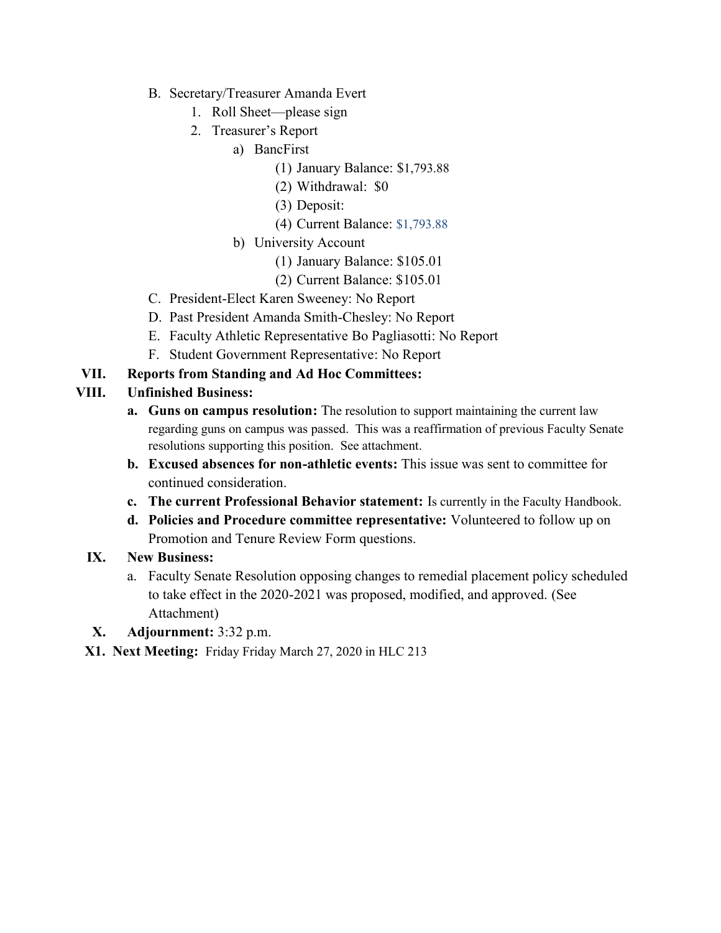- B. Secretary/Treasurer Amanda Evert
	- 1. Roll Sheet—please sign
	- 2. Treasurer's Report
		- a) BancFirst
			- (1) January Balance: \$1,793.88
			- (2) Withdrawal: \$0
			- (3) Deposit:
			- (4) Current Balance: \$1,793.88
			- b) University Account
				- (1) January Balance: \$105.01
				- (2) Current Balance: \$105.01
- C. President-Elect Karen Sweeney: No Report
- D. Past President Amanda Smith-Chesley: No Report
- E. Faculty Athletic Representative Bo Pagliasotti: No Report
- F. Student Government Representative: No Report
- **VII. Reports from Standing and Ad Hoc Committees:**

#### **VIII. Unfinished Business:**

- **a. Guns on campus resolution:** The resolution to support maintaining the current law regarding guns on campus was passed. This was a reaffirmation of previous Faculty Senate resolutions supporting this position. See attachment.
- **b. Excused absences for non-athletic events:** This issue was sent to committee for continued consideration.
- **c. The current Professional Behavior statement:** Is currently in the Faculty Handbook.
- **d. Policies and Procedure committee representative:** Volunteered to follow up on Promotion and Tenure Review Form questions.

#### **IX. New Business:**

- a. Faculty Senate Resolution opposing changes to remedial placement policy scheduled to take effect in the 2020-2021 was proposed, modified, and approved. (See Attachment)
- **X. Adjournment:** 3:32 p.m.
- **X1. Next Meeting:** Friday Friday March 27, 2020 in HLC 213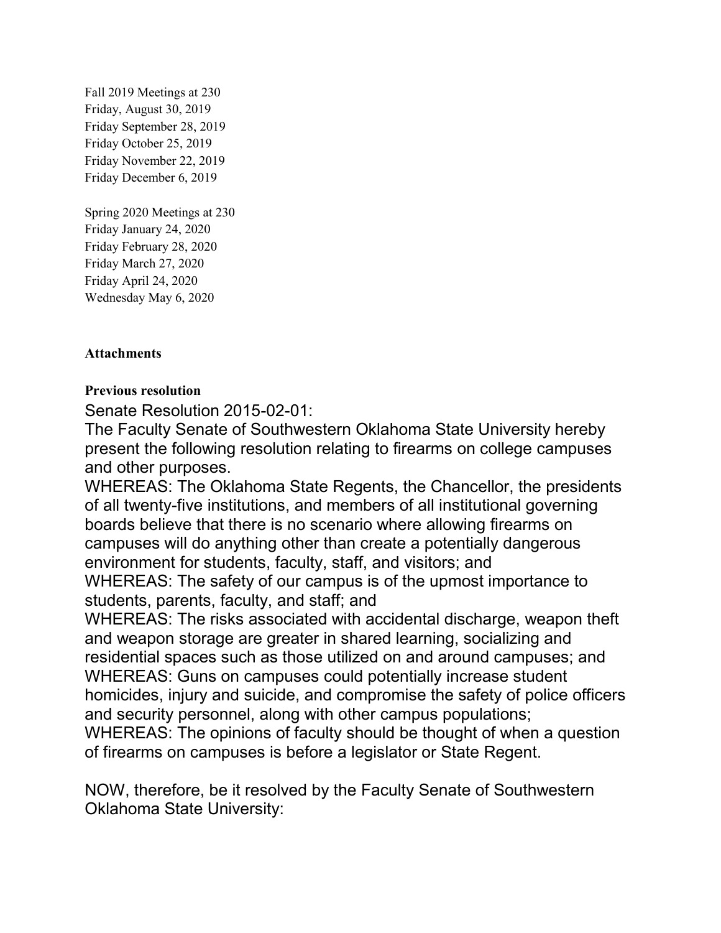Fall 2019 Meetings at 230 Friday, August 30, 2019 Friday September 28, 2019 Friday October 25, 2019 Friday November 22, 2019 Friday December 6, 2019

Spring 2020 Meetings at 230 Friday January 24, 2020 Friday February 28, 2020 Friday March 27, 2020 Friday April 24, 2020 Wednesday May 6, 2020

#### **Attachments**

#### **Previous resolution**

Senate Resolution 2015-02-01:

The Faculty Senate of Southwestern Oklahoma State University hereby present the following resolution relating to firearms on college campuses and other purposes.

WHEREAS: The Oklahoma State Regents, the Chancellor, the presidents of all twenty-five institutions, and members of all institutional governing boards believe that there is no scenario where allowing firearms on campuses will do anything other than create a potentially dangerous environment for students, faculty, staff, and visitors; and WHEREAS: The safety of our campus is of the upmost importance to

students, parents, faculty, and staff; and

WHEREAS: The risks associated with accidental discharge, weapon theft and weapon storage are greater in shared learning, socializing and residential spaces such as those utilized on and around campuses; and WHEREAS: Guns on campuses could potentially increase student homicides, injury and suicide, and compromise the safety of police officers and security personnel, along with other campus populations;

WHEREAS: The opinions of faculty should be thought of when a question of firearms on campuses is before a legislator or State Regent.

NOW, therefore, be it resolved by the Faculty Senate of Southwestern Oklahoma State University: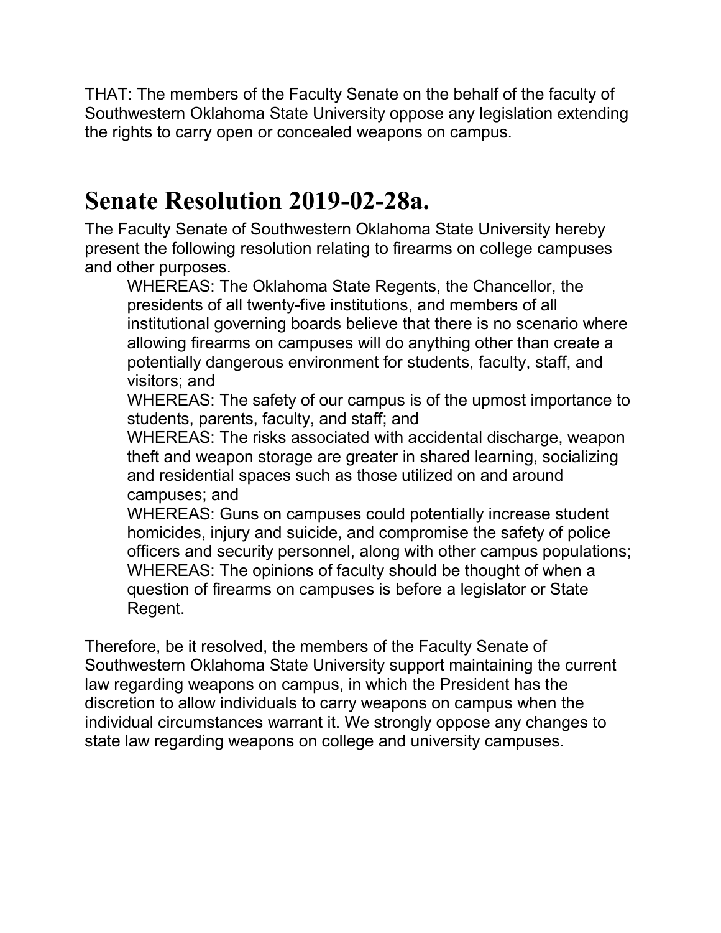THAT: The members of the Faculty Senate on the behalf of the faculty of Southwestern Oklahoma State University oppose any legislation extending the rights to carry open or concealed weapons on campus.

### **Senate Resolution 2019-02-28a.**

The Faculty Senate of Southwestern Oklahoma State University hereby present the following resolution relating to firearms on college campuses and other purposes.

WHEREAS: The Oklahoma State Regents, the Chancellor, the presidents of all twenty-five institutions, and members of all institutional governing boards believe that there is no scenario where allowing firearms on campuses will do anything other than create a potentially dangerous environment for students, faculty, staff, and visitors; and

WHEREAS: The safety of our campus is of the upmost importance to students, parents, faculty, and staff; and

WHEREAS: The risks associated with accidental discharge, weapon theft and weapon storage are greater in shared learning, socializing and residential spaces such as those utilized on and around campuses; and

WHEREAS: Guns on campuses could potentially increase student homicides, injury and suicide, and compromise the safety of police officers and security personnel, along with other campus populations; WHEREAS: The opinions of faculty should be thought of when a question of firearms on campuses is before a legislator or State Regent.

Therefore, be it resolved, the members of the Faculty Senate of Southwestern Oklahoma State University support maintaining the current law regarding weapons on campus, in which the President has the discretion to allow individuals to carry weapons on campus when the individual circumstances warrant it. We strongly oppose any changes to state law regarding weapons on college and university campuses.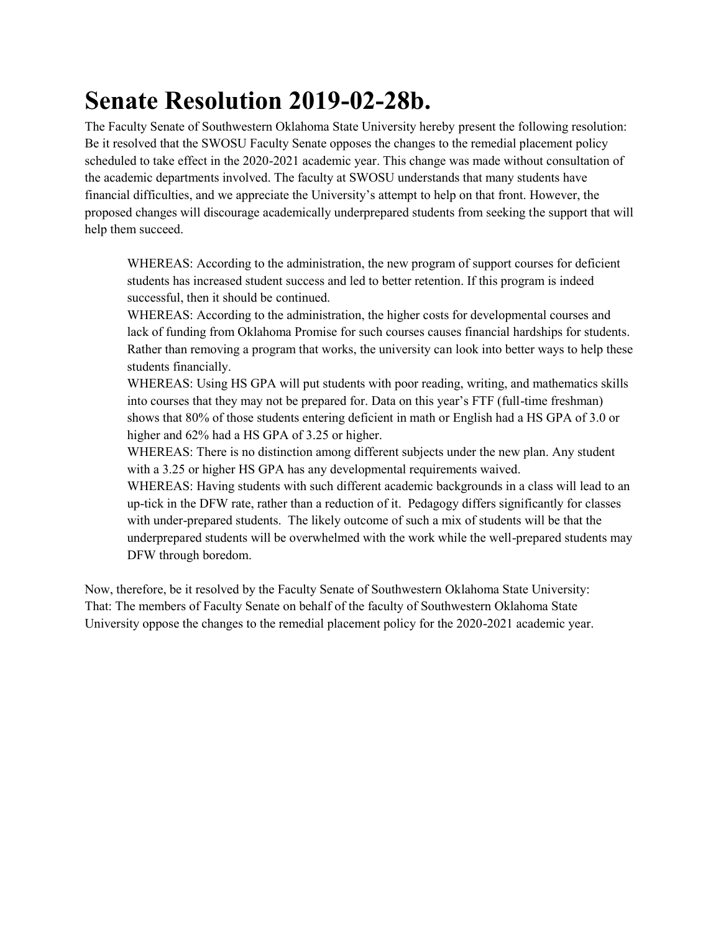## **Senate Resolution 2019-02-28b.**

The Faculty Senate of Southwestern Oklahoma State University hereby present the following resolution: Be it resolved that the SWOSU Faculty Senate opposes the changes to the remedial placement policy scheduled to take effect in the 2020-2021 academic year. This change was made without consultation of the academic departments involved. The faculty at SWOSU understands that many students have financial difficulties, and we appreciate the University's attempt to help on that front. However, the proposed changes will discourage academically underprepared students from seeking the support that will help them succeed.

WHEREAS: According to the administration, the new program of support courses for deficient students has increased student success and led to better retention. If this program is indeed successful, then it should be continued.

WHEREAS: According to the administration, the higher costs for developmental courses and lack of funding from Oklahoma Promise for such courses causes financial hardships for students. Rather than removing a program that works, the university can look into better ways to help these students financially.

WHEREAS: Using HS GPA will put students with poor reading, writing, and mathematics skills into courses that they may not be prepared for. Data on this year's FTF (full-time freshman) shows that 80% of those students entering deficient in math or English had a HS GPA of 3.0 or higher and 62% had a HS GPA of 3.25 or higher.

WHEREAS: There is no distinction among different subjects under the new plan. Any student with a 3.25 or higher HS GPA has any developmental requirements waived.

WHEREAS: Having students with such different academic backgrounds in a class will lead to an up-tick in the DFW rate, rather than a reduction of it. Pedagogy differs significantly for classes with under-prepared students. The likely outcome of such a mix of students will be that the underprepared students will be overwhelmed with the work while the well-prepared students may DFW through boredom.

Now, therefore, be it resolved by the Faculty Senate of Southwestern Oklahoma State University: That: The members of Faculty Senate on behalf of the faculty of Southwestern Oklahoma State University oppose the changes to the remedial placement policy for the 2020-2021 academic year.